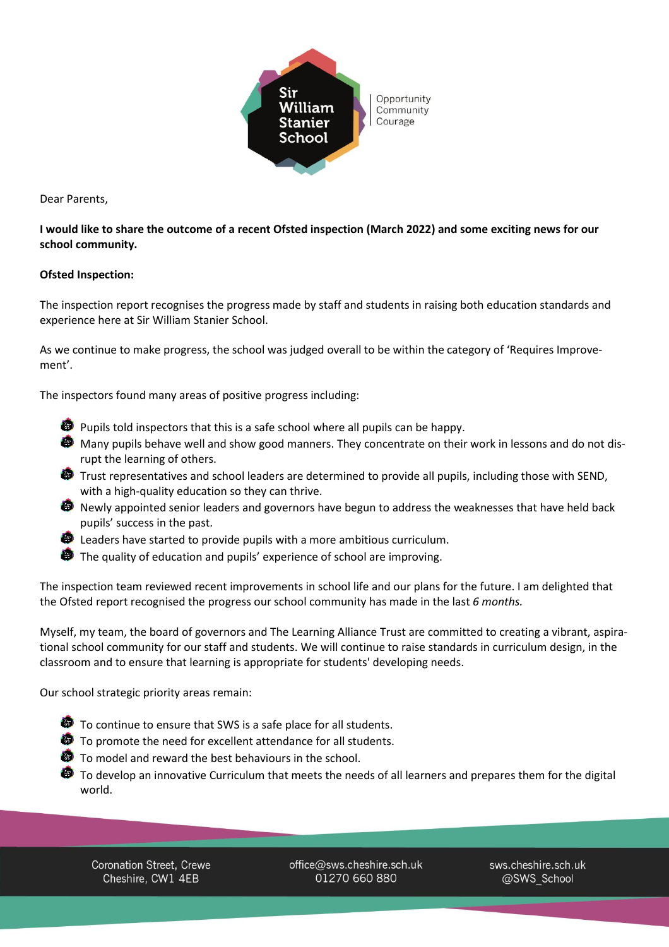

Dear Parents,

## I would like to share the outcome of a recent Ofsted inspection (March 2022) and some exciting news for our **school community.**

## **Ofsted Inspection:**

The inspection report recognises the progress made by staff and students in raising both education standards and experience here at Sir William Stanier School.

As we continue to make progress, the school was judged overall to be within the category of 'Requires Improvement'.

The inspectors found many areas of positive progress including:

- Pupils told inspectors that this is a safe school where all pupils can be happy.
- Many pupils behave well and show good manners. They concentrate on their work in lessons and do not disrupt the learning of others.
- **Trust representatives and school leaders are determined to provide all pupils, including those with SEND,** with a high-quality education so they can thrive.
- **D** Newly appointed senior leaders and governors have begun to address the weaknesses that have held back pupils' success in the past.
- **B** Leaders have started to provide pupils with a more ambitious curriculum.
- The quality of education and pupils' experience of school are improving.

The inspection team reviewed recent improvements in school life and our plans for the future. I am delighted that the Ofsted report recognised the progress our school community has made in the last *6 months.*

Myself, my team, the board of governors and The Learning Alliance Trust are committed to creating a vibrant, aspirational school community for our staff and students. We will continue to raise standards in curriculum design, in the classroom and to ensure that learning is appropriate for students' developing needs.

Our school strategic priority areas remain:

- **O** To continue to ensure that SWS is a safe place for all students.
- **O** To promote the need for excellent attendance for all students.
- **To model and reward the best behaviours in the school.**
- To develop an innovative Curriculum that meets the needs of all learners and prepares them for the digital world.

Coronation Street, Crewe Cheshire, CW1 4EB

office@sws.cheshire.sch.uk 01270 660 880

sws.cheshire.sch.uk @SWS School